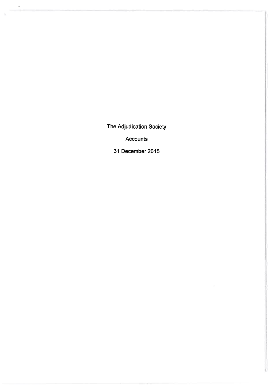The Adjudication Society

 $\tilde{\mathcal{M}}$ 

 $\overline{\phantom{a}}$ 

Accounts

31 December 2015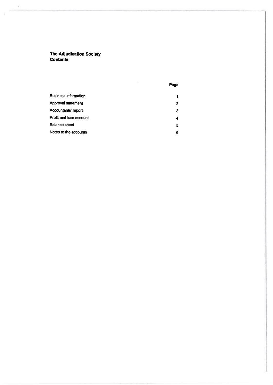The Adjudication Soclety **Contents** 

 $\tilde{\chi}$ 

Ś.

|  | ٠ |
|--|---|
|  |   |

| <b>Business information</b>    | 1 |
|--------------------------------|---|
| Approval statement             | 2 |
| Accountants' report            | 3 |
| <b>Profit and loss account</b> | 4 |
| <b>Balance sheet</b>           | 5 |
| Notes to the accounts          | 6 |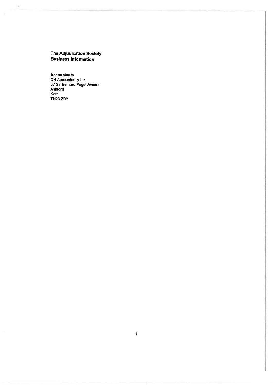# The Adjudication Society<br>Business Information

 $\mathcal{N}$ 

Accountants<br>CH Accountancy Ltd<br>57 Sir Bernard Paget Avenue<br>Ashford Kent<br>TN23 3RY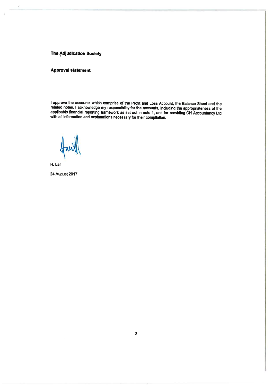### **The Adjudication Society**

### **Approval statement**

I approve the accounts which comprise of the Profit and Loss Account, the Balance Sheet and the related notes. I acknowledge my responsibility for the accounts, including the appropriateness of the applicable financial reporting framework as set out in note 1, and for providing CH Accountancy Ltd with all information and explanations necessary for their compilation.

H. Lat 24 August 2017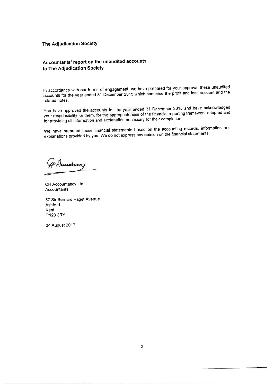#### The Adjudication Society

## Accountants' report on the unaudited accounts to The Adjudication Society

ln accordance with our terms of engagement, we have prepared for your approval these unaudited accounts for the year ended 31 December 2015 which comprise the profit and loss account and the related notes.

You have approved the accounts for the year ended 31 December 2015 and have acknowledged your responsibility for them, for the appropriateness of the financial reporting framework adopted and for providing all information and explanation necessary for their completion.

We have prepared these financial statements based on the accounting records, information and explanations provided by you. We do not express any opinion on the financial statements.

Accantanay

CH Accountancy Ltd Accountants

57 Sir Bernard Paget Avenue Ashford Kent TN23 3RY

24 August 2017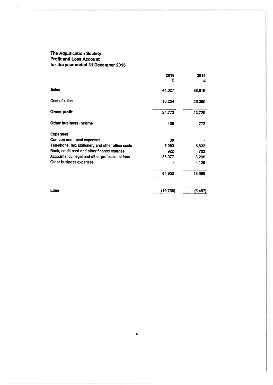# **The Adjudication Society<br>Profit and Loss Account** for the year ended 31 December 2015

|                                                   | 2015<br>£ | 2014<br>£ |
|---------------------------------------------------|-----------|-----------|
| <b>Sales</b>                                      | 41,027    | 38,819    |
| Cost of sales                                     | 16,254    | 26,090    |
| <b>Gross profit</b>                               | 24,773    | 12,729    |
| Other business income                             | 439       | 772       |
| <b>Expenses</b>                                   |           |           |
| Car, van and travel expenses                      | 68        |           |
| Telephone, fax, stationery and other office costs | 7,983     | 5,832     |
| Bank, credit card and other finance charges       | 922       | 702       |
| Accountancy, legal and other professional fees    | 35,977    | 8,296     |
| Other business expenses                           |           | 4,128     |
|                                                   | 44,950    | 18,958    |
| Loss                                              | (19, 738) | (5, 457)  |

 $\ddot{\mathbf{4}}$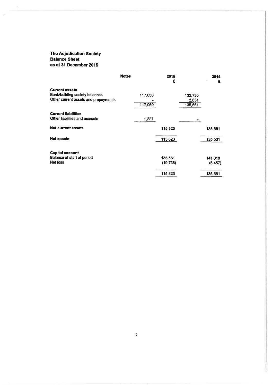### The Adjudication Society Balance Sheet as at 31 December 2015

|                                                                                                 | <b>Notes</b> | 2015<br>£ |                  | 2014<br>£ |
|-------------------------------------------------------------------------------------------------|--------------|-----------|------------------|-----------|
| <b>Current assets</b><br>Bank/building society balances<br>Other current assets and prepayments | 117,050      |           | 132,730<br>2,831 |           |
|                                                                                                 | 117,050      |           | 135,561          |           |
| <b>Current liabilities</b><br>Other liabilities and accruals                                    | 1,227        |           |                  |           |
| <b>Net current assets</b>                                                                       |              | 115,823   |                  | 135,561   |
| Net assets                                                                                      |              | 115,823   |                  | 135,561   |
| <b>Capital account</b>                                                                          |              |           |                  |           |
| Balance at start of period                                                                      |              | 135,561   |                  | 141,018   |
| Net loss                                                                                        |              | (19,738)  |                  | (5, 457)  |
|                                                                                                 |              | 115,823   |                  | 135,561   |